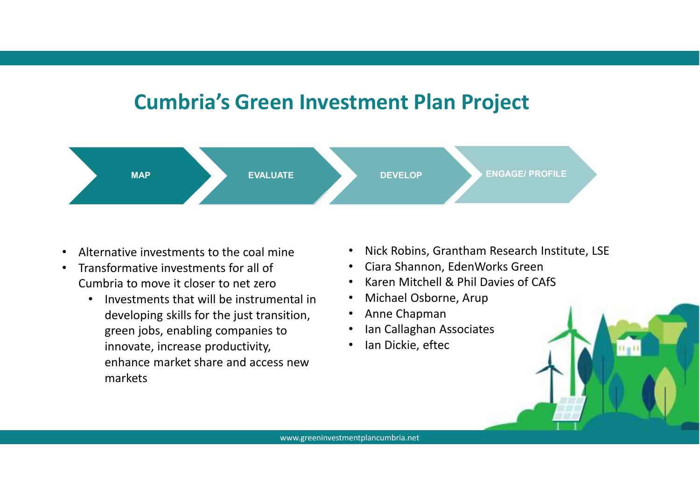# **Cumbria's Green Investment Plan Project**



- •Alternative investments to the coal mine
- • Transformative investments for all of Cumbria to move it closer to net zero
	- Investments that will be instrumental in •developing skills for the just transition, green jobs, enabling companies to innovate, increase productivity, enhance market share and access new markets
- Nick Robins, Grantham Research Institute, LSE
- Ciara Shannon, EdenWorks Green
- •Karen Mitchell & Phil Davies of CAfS
- Michael Osborne, Arup
- Anne Chapman
- $\bullet$ Ian Callaghan Associates
- $\bullet$ Ian Dickie, eftec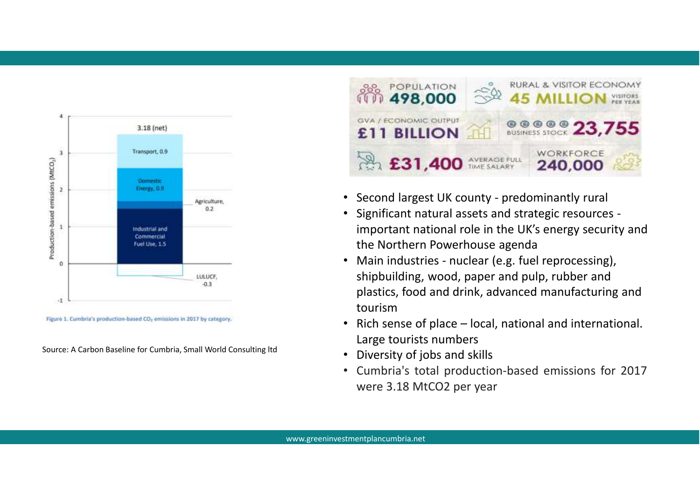

Figure 1. Cumbria's production-based CO<sub>2</sub> emissions in 2017 by category.

Source: A Carbon Baseline for Cumbria, Small World Consulting ltd



- Second largest UK county predominantly rural
- • Significant natural assets and strategic resources important national role in the UK's energy security and the Northern Powerhouse agenda
- Main industries nuclear (e.g. fuel reprocessing), •shipbuilding, wood, paper and pulp, rubber and plastics, food and drink, advanced manufacturing and tourism
- Rich sense of place local, national and international.  $\bullet$ Large tourists numbers
- Diversity of jobs and skills
- Cumbria's total production-based emissions for 2017were 3.18 MtCO2 per year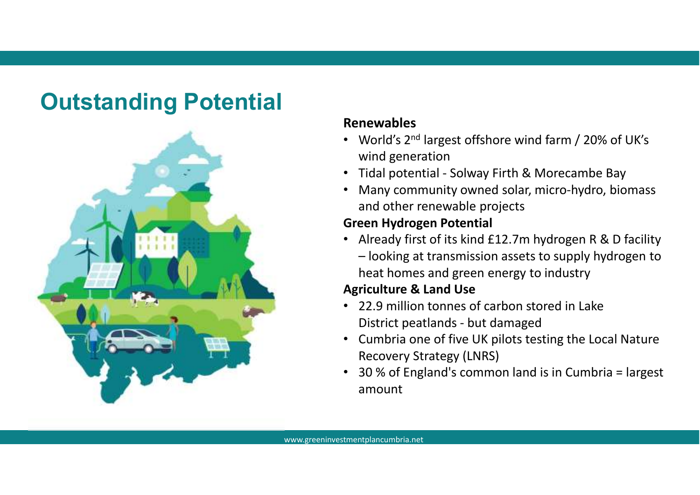# **Outstanding Potential**



#### **Renewables**

- World's 2<sup>nd</sup> largest offshore wind farm / 20% of UK's wind generation
- Tidal potential Solway Firth & Morecambe Bay
- Many community owned solar, micro-hydro, biomass and other renewable projects

#### **Green Hydrogen Potential**

• Already first of its kind £12.7m hydrogen R & D facility – looking at transmission assets to supply hydrogen to heat homes and green energy to industry

### **Agriculture & Land Use**

- 22.9 million tonnes of carbon stored in Lake District peatlands - but damaged
- Cumbria one of five UK pilots testing the Local Nature Recovery Strategy (LNRS)
- 30 % of England's common land is in Cumbria = largest  $\bullet$ amount